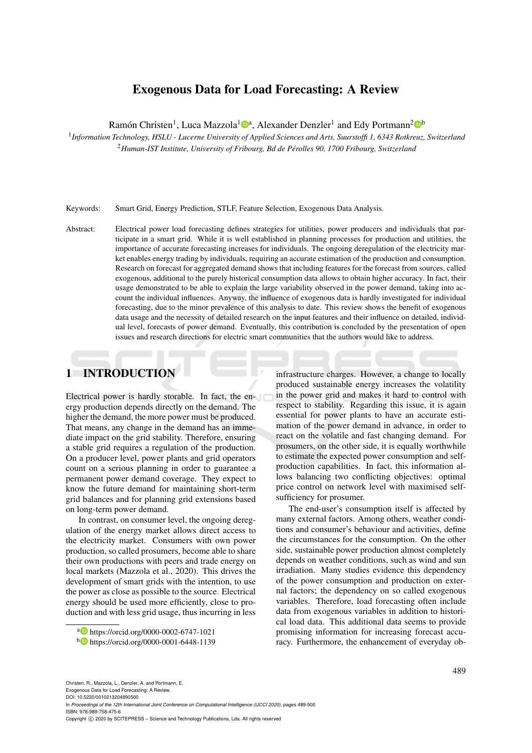# Exogenous Data for Load Forecasting: A Review

Ramón Christen<sup>1</sup>, Luca Mazzola<sup>1</sup><sup>®</sup>, Alexander Denzler<sup>1</sup> and Edy Portmann<sup>2</sup><sup>®</sup>

1 *Information Technology, HSLU - Lucerne University of Applied Sciences and Arts, Suurstoffi 1, 6343 Rotkreuz, Switzerland* <sup>2</sup>*Human-IST Institute, University of Fribourg, Bd de Perolles 90, 1700 Fribourg, Switzerland ´*

Keywords: Smart Grid, Energy Prediction, STLF, Feature Selection, Exogenous Data Analysis.

Abstract: Electrical power load forecasting defines strategies for utilities, power producers and individuals that participate in a smart grid. While it is well established in planning processes for production and utilities, the importance of accurate forecasting increases for individuals. The ongoing deregulation of the electricity market enables energy trading by individuals, requiring an accurate estimation of the production and consumption. Research on forecast for aggregated demand shows that including features for the forecast from sources, called exogenous, additional to the purely historical consumption data allows to obtain higher accuracy. In fact, their usage demonstrated to be able to explain the large variability observed in the power demand, taking into account the individual influences. Anyway, the influence of exogenous data is hardly investigated for individual forecasting, due to the minor prevalence of this analysis to date. This review shows the benefit of exogenous data usage and the necessity of detailed research on the input features and their influence on detailed, individual level, forecasts of power demand. Eventually, this contribution is concluded by the presentation of open issues and research directions for electric smart communities that the authors would like to address.

# 1 INTRODUCTION

Electrical power is hardly storable. In fact, the energy production depends directly on the demand. The higher the demand, the more power must be produced. That means, any change in the demand has an immediate impact on the grid stability. Therefore, ensuring a stable grid requires a regulation of the production. On a producer level, power plants and grid operators count on a serious planning in order to guarantee a permanent power demand coverage. They expect to know the future demand for maintaining short-term grid balances and for planning grid extensions based on long-term power demand.

In contrast, on consumer level, the ongoing deregulation of the energy market allows direct access to the electricity market. Consumers with own power production, so called prosumers, become able to share their own productions with peers and trade energy on local markets (Mazzola et al., 2020). This drives the development of smart grids with the intention, to use the power as close as possible to the source. Electrical energy should be used more efficiently, close to production and with less grid usage, thus incurring in less

infrastructure charges. However, a change to locally produced sustainable energy increases the volatility in the power grid and makes it hard to control with respect to stability. Regarding this issue, it is again essential for power plants to have an accurate estimation of the power demand in advance, in order to react on the volatile and fast changing demand. For prosumers, on the other side, it is equally worthwhile to estimate the expected power consumption and selfproduction capabilities. In fact, this information allows balancing two conflicting objectives: optimal price control on network level with maximised selfsufficiency for prosumer.

The end-user's consumption itself is affected by many external factors. Among others, weather conditions and consumer's behaviour and activities, define the circumstances for the consumption. On the other side, sustainable power production almost completely depends on weather conditions, such as wind and sun irradiation. Many studies evidence this dependency of the power consumption and production on external factors; the dependency on so called exogenous variables. Therefore, load forecasting often include data from exogenous variables in addition to historical load data. This additional data seems to provide promising information for increasing forecast accuracy. Furthermore, the enhancement of everyday ob-

Exogenous Data for Load Forecasting: A Review.

DOI: 10.5220/0010213204890500 In *Proceedings of the 12th International Joint Conference on Computational Intelligence (IJCCI 2020)*, pages 489-500 ISBN: 978-989-758-475-6

Copyright © 2020 by SCITEPRESS - Science and Technology Publications, Lda. All rights reserved

<sup>a</sup> https://orcid.org/0000-0002-6747-1021

<sup>b</sup> https://orcid.org/0000-0001-6448-1139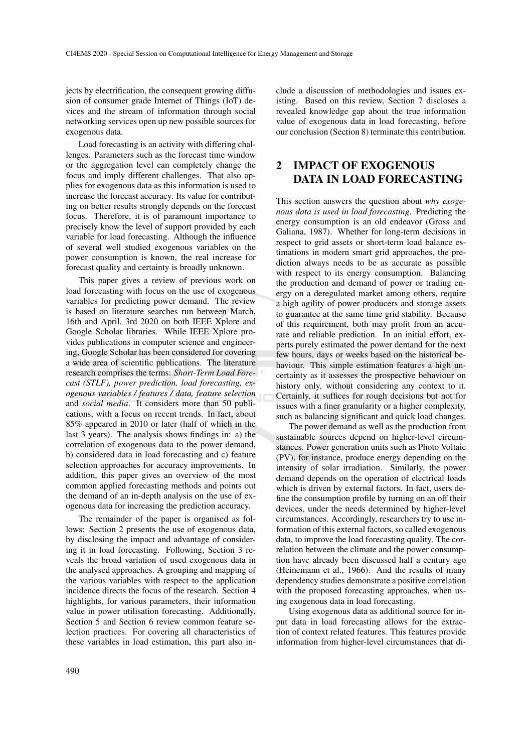jects by electrification, the consequent growing diffusion of consumer grade Internet of Things (IoT) devices and the stream of information through social networking services open up new possible sources for exogenous data.

Load forecasting is an activity with differing challenges. Parameters such as the forecast time window or the aggregation level can completely change the focus and imply different challenges. That also applies for exogenous data as this information is used to increase the forecast accuracy. Its value for contributing on better results strongly depends on the forecast focus. Therefore, it is of paramount importance to precisely know the level of support provided by each variable for load forecasting. Although the influence of several well studied exogenous variables on the power consumption is known, the real increase for forecast quality and certainty is broadly unknown.

This paper gives a review of previous work on load forecasting with focus on the use of exogenous variables for predicting power demand. The review is based on literature searches run between March, 16th and April, 3rd 2020 on both IEEE Xplore and Google Scholar libraries. While IEEE Xplore provides publications in computer science and engineering, Google Scholar has been considered for covering a wide area of scientific publications. The literature research comprises the terms: *Short-Term Load Forecast (STLF), power prediction, load forecasting, exogenous variables / features / data, feature selection* and *social media*. It considers more than 50 publications, with a focus on recent trends. In fact, about 85% appeared in 2010 or later (half of which in the last 3 years). The analysis shows findings in: a) the correlation of exogenous data to the power demand, b) considered data in load forecasting and c) feature selection approaches for accuracy improvements. In addition, this paper gives an overview of the most common applied forecasting methods and points out the demand of an in-depth analysis on the use of exogenous data for increasing the prediction accuracy.

The remainder of the paper is organised as follows: Section 2 presents the use of exogenous data, by disclosing the impact and advantage of considering it in load forecasting. Following, Section 3 reveals the broad variation of used exogenous data in the analysed approaches. A grouping and mapping of the various variables with respect to the application incidence directs the focus of the research. Section 4 highlights, for various parameters, their information value in power utilisation forecasting. Additionally, Section 5 and Section 6 review common feature selection practices. For covering all characteristics of these variables in load estimation, this part also include a discussion of methodologies and issues existing. Based on this review, Section 7 discloses a revealed knowledge gap about the true information value of exogenous data in load forecasting, before our conclusion (Section 8) terminate this contribution.

## 2 IMPACT OF EXOGENOUS DATA IN LOAD FORECASTING

This section answers the question about *why exogenous data is used in load forecasting*. Predicting the energy consumption is an old endeavor (Gross and Galiana, 1987). Whether for long-term decisions in respect to grid assets or short-term load balance estimations in modern smart grid approaches, the prediction always needs to be as accurate as possible with respect to its energy consumption. Balancing the production and demand of power or trading energy on a deregulated market among others, require a high agility of power producers and storage assets to guarantee at the same time grid stability. Because of this requirement, both may profit from an accurate and reliable prediction. In an initial effort, experts purely estimated the power demand for the next few hours, days or weeks based on the historical behaviour. This simple estimation features a high uncertainty as it assesses the prospective behaviour on history only, without considering any context to it. Certainly, it suffices for rough decisions but not for issues with a finer granularity or a higher complexity, such as balancing significant and quick load changes.

The power demand as well as the production from sustainable sources depend on higher-level circumstances. Power generation units such as Photo Voltaic (PV), for instance, produce energy depending on the intensity of solar irradiation. Similarly, the power demand depends on the operation of electrical loads which is driven by external factors. In fact, users define the consumption profile by turning on an off their devices, under the needs determined by higher-level circumstances. Accordingly, researchers try to use information of this external factors, so called exogenous data, to improve the load forecasting quality. The correlation between the climate and the power consumption have already been discussed half a century ago (Heinemann et al., 1966). And the results of many dependency studies demonstrate a positive correlation with the proposed forecasting approaches, when using exogenous data in load forecasting.

Using exogenous data as additional source for input data in load forecasting allows for the extraction of context related features. This features provide information from higher-level circumstances that di-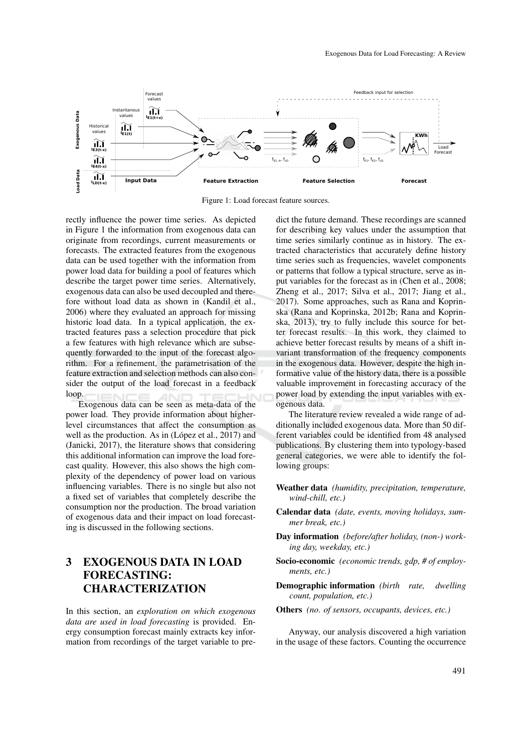

Figure 1: Load forecast feature sources.

rectly influence the power time series. As depicted in Figure 1 the information from exogenous data can originate from recordings, current measurements or forecasts. The extracted features from the exogenous data can be used together with the information from power load data for building a pool of features which describe the target power time series. Alternatively, exogenous data can also be used decoupled and therefore without load data as shown in (Kandil et al., 2006) where they evaluated an approach for missing historic load data. In a typical application, the extracted features pass a selection procedure that pick a few features with high relevance which are subsequently forwarded to the input of the forecast algorithm. For a refinement, the parametrisation of the feature extraction and selection methods can also consider the output of the load forecast in a feedback loop.

Exogenous data can be seen as meta-data of the power load. They provide information about higherlevel circumstances that affect the consumption as well as the production. As in (López et al., 2017) and (Janicki, 2017), the literature shows that considering this additional information can improve the load forecast quality. However, this also shows the high complexity of the dependency of power load on various influencing variables. There is no single but also not a fixed set of variables that completely describe the consumption nor the production. The broad variation of exogenous data and their impact on load forecasting is discussed in the following sections.

# 3 EXOGENOUS DATA IN LOAD FORECASTING: CHARACTERIZATION

In this section, an *exploration on which exogenous data are used in load forecasting* is provided. Energy consumption forecast mainly extracts key information from recordings of the target variable to predict the future demand. These recordings are scanned for describing key values under the assumption that time series similarly continue as in history. The extracted characteristics that accurately define history time series such as frequencies, wavelet components or patterns that follow a typical structure, serve as input variables for the forecast as in (Chen et al., 2008; Zheng et al., 2017; Silva et al., 2017; Jiang et al., 2017). Some approaches, such as Rana and Koprinska (Rana and Koprinska, 2012b; Rana and Koprinska, 2013), try to fully include this source for better forecast results. In this work, they claimed to achieve better forecast results by means of a shift invariant transformation of the frequency components in the exogenous data. However, despite the high informative value of the history data, there is a possible valuable improvement in forecasting accuracy of the power load by extending the input variables with exogenous data.

The literature review revealed a wide range of additionally included exogenous data. More than 50 different variables could be identified from 48 analysed publications. By clustering them into typology-based general categories, we were able to identify the following groups:

- Weather data *(humidity, precipitation, temperature, wind-chill, etc.)*
- Calendar data *(date, events, moving holidays, summer break, etc.)*
- Day information *(before/after holiday, (non-) working day, weekday, etc.)*
- Socio-economic *(economic trends, gdp, # of employments, etc.)*
- Demographic information *(birth rate, dwelling count, population, etc.)*
- Others *(no. of sensors, occupants, devices, etc.)*

Anyway, our analysis discovered a high variation in the usage of these factors. Counting the occurrence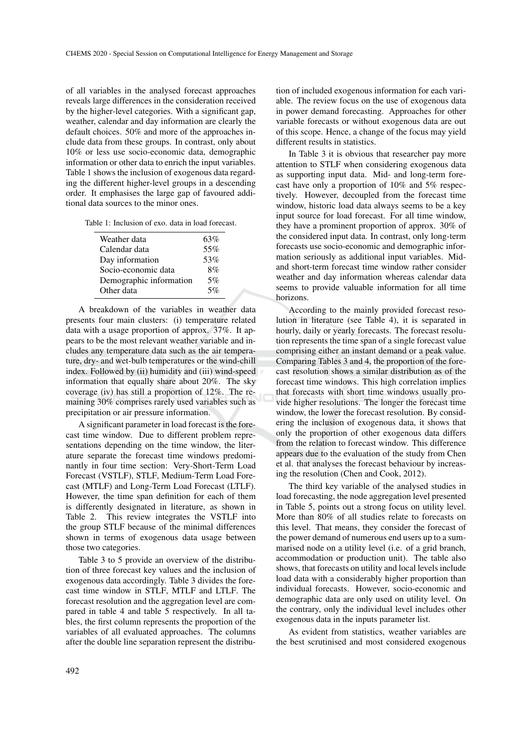of all variables in the analysed forecast approaches reveals large differences in the consideration received by the higher-level categories. With a significant gap, weather, calendar and day information are clearly the default choices. 50% and more of the approaches include data from these groups. In contrast, only about 10% or less use socio-economic data, demographic information or other data to enrich the input variables. Table 1 shows the inclusion of exogenous data regarding the different higher-level groups in a descending order. It emphasises the large gap of favoured additional data sources to the minor ones.

Table 1: Inclusion of exo. data in load forecast.

| Weather data            | 63% |
|-------------------------|-----|
| Calendar data           | 55% |
| Day information         | 53% |
| Socio-economic data     | 8%  |
| Demographic information | 5%  |
| Other data              | 5%  |
|                         |     |

A breakdown of the variables in weather data presents four main clusters: (i) temperature related data with a usage proportion of approx. 37%. It appears to be the most relevant weather variable and includes any temperature data such as the air temperature, dry- and wet-bulb temperatures or the wind-chill index. Followed by (ii) humidity and (iii) wind-speed information that equally share about 20%. The sky coverage (iv) has still a proportion of 12%. The remaining 30% comprises rarely used variables such as precipitation or air pressure information.

A significant parameter in load forecast is the forecast time window. Due to different problem representations depending on the time window, the literature separate the forecast time windows predominantly in four time section: Very-Short-Term Load Forecast (VSTLF), STLF, Medium-Term Load Forecast (MTLF) and Long-Term Load Forecast (LTLF). However, the time span definition for each of them is differently designated in literature, as shown in Table 2. This review integrates the VSTLF into the group STLF because of the minimal differences shown in terms of exogenous data usage between those two categories.

Table 3 to 5 provide an overview of the distribution of three forecast key values and the inclusion of exogenous data accordingly. Table 3 divides the forecast time window in STLF, MTLF and LTLF. The forecast resolution and the aggregation level are compared in table 4 and table 5 respectively. In all tables, the first column represents the proportion of the variables of all evaluated approaches. The columns after the double line separation represent the distribution of included exogenous information for each variable. The review focus on the use of exogenous data in power demand forecasting. Approaches for other variable forecasts or without exogenous data are out of this scope. Hence, a change of the focus may yield different results in statistics.

In Table 3 it is obvious that researcher pay more attention to STLF when considering exogenous data as supporting input data. Mid- and long-term forecast have only a proportion of 10% and 5% respectively. However, decoupled from the forecast time window, historic load data always seems to be a key input source for load forecast. For all time window, they have a prominent proportion of approx. 30% of the considered input data. In contrast, only long-term forecasts use socio-economic and demographic information seriously as additional input variables. Midand short-term forecast time window rather consider weather and day information whereas calendar data seems to provide valuable information for all time horizons.

According to the mainly provided forecast resolution in literature (see Table 4), it is separated in hourly, daily or yearly forecasts. The forecast resolution represents the time span of a single forecast value comprising either an instant demand or a peak value. Comparing Tables 3 and 4, the proportion of the forecast resolution shows a similar distribution as of the forecast time windows. This high correlation implies that forecasts with short time windows usually provide higher resolutions. The longer the forecast time window, the lower the forecast resolution. By considering the inclusion of exogenous data, it shows that only the proportion of other exogenous data differs from the relation to forecast window. This difference appears due to the evaluation of the study from Chen et al. that analyses the forecast behaviour by increasing the resolution (Chen and Cook, 2012).

The third key variable of the analysed studies in load forecasting, the node aggregation level presented in Table 5, points out a strong focus on utility level. More than 80% of all studies relate to forecasts on this level. That means, they consider the forecast of the power demand of numerous end users up to a summarised node on a utility level (i.e. of a grid branch, accommodation or production unit). The table also shows, that forecasts on utility and local levels include load data with a considerably higher proportion than individual forecasts. However, socio-economic and demographic data are only used on utility level. On the contrary, only the individual level includes other exogenous data in the inputs parameter list.

As evident from statistics, weather variables are the best scrutinised and most considered exogenous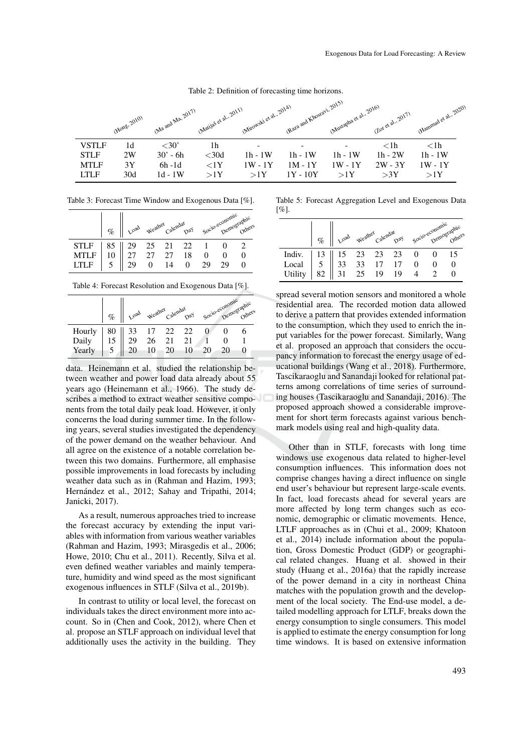Table 2: Definition of forecasting time horizons.

|              | (Hong, 2010) | Ma and Ma, 2017) | (Matijaš et al., 2011) | (Mirowski et al., 2014) | (R3/2 and Khostavi, 2015) | (Mustapha et al., 2016) | (Lot et al., 2017) | (Hammad et al noon |
|--------------|--------------|------------------|------------------------|-------------------------|---------------------------|-------------------------|--------------------|--------------------|
| <b>VSTLF</b> | 1d           | $<$ 30'          | 1h                     |                         |                           |                         | $<$ lh             | $<$ 1h             |
| <b>STLF</b>  | 2W           | $30' - 6h$       | $<$ 30d                | $1h - 1W$               | $1h - 1W$                 | $1h - 1W$               | $1h - 2W$          | $1h - 1W$          |
| <b>MTLF</b>  | 3Y           | $6h-1d$          | ${<}1Y$                | $1W - 1Y$               | $1M - 1Y$                 | $1W - 1Y$               | $2W - 3Y$          | $1W - 1Y$          |
| <b>LTLF</b>  | 30d          | $1d - 1W$        | >1Y                    | >1Y                     | $1Y - 10Y$                | >1Y                     | >3Y                | >1Y                |

Table 3: Forecast Time Window and Exogenous Data [%].

|                                                                       | % veal weather catendar pay socio-economic others |  |  |    |  |
|-----------------------------------------------------------------------|---------------------------------------------------|--|--|----|--|
| STLF 85 29 25 21 22 1<br>MTLF 10 27 27 27 18 0<br>LTLF 5 29 0 14 0 29 |                                                   |  |  |    |  |
|                                                                       |                                                   |  |  |    |  |
|                                                                       |                                                   |  |  | 29 |  |

Table 4: Forecast Resolution and Exogenous Data [%].

|                           | %   Lead weather Calendar pay Socio-economic aphic                                                              |  |    |    |  |
|---------------------------|-----------------------------------------------------------------------------------------------------------------|--|----|----|--|
|                           |                                                                                                                 |  |    |    |  |
| Hourly<br>Daily<br>Yearly | $\begin{array}{c cccc}\n80 & 33 & 17 & 22 & 22 \\ 15 & 29 & 26 & 21 & 21 \\ 5 & 20 & 10 & 20 & 10\n\end{array}$ |  |    |    |  |
|                           |                                                                                                                 |  | 20 | 20 |  |

data. Heinemann et al. studied the relationship between weather and power load data already about 55 years ago (Heinemann et al., 1966). The study describes a method to extract weather sensitive components from the total daily peak load. However, it only concerns the load during summer time. In the following years, several studies investigated the dependency of the power demand on the weather behaviour. And all agree on the existence of a notable correlation between this two domains. Furthermore, all emphasise possible improvements in load forecasts by including weather data such as in (Rahman and Hazim, 1993; Hernández et al., 2012; Sahay and Tripathi, 2014; Janicki, 2017).

As a result, numerous approaches tried to increase the forecast accuracy by extending the input variables with information from various weather variables (Rahman and Hazim, 1993; Mirasgedis et al., 2006; Howe, 2010; Chu et al., 2011). Recently, Silva et al. even defined weather variables and mainly temperature, humidity and wind speed as the most significant exogenous influences in STLF (Silva et al., 2019b).

In contrast to utility or local level, the forecast on individuals takes the direct environment more into account. So in (Chen and Cook, 2012), where Chen et al. propose an STLF approach on individual level that additionally uses the activity in the building. They

Table 5: Forecast Aggregation Level and Exogenous Data [%].

|                                                                              | % I Load Weather Catendar Day Socio-economic Others |  |  |  |
|------------------------------------------------------------------------------|-----------------------------------------------------|--|--|--|
| Indiv. 13 15 23 23 23 0<br>Local 5 33 33 17 17 0<br>Utility 82 31 25 19 19 4 |                                                     |  |  |  |
|                                                                              |                                                     |  |  |  |
| Utility                                                                      |                                                     |  |  |  |

spread several motion sensors and monitored a whole residential area. The recorded motion data allowed to derive a pattern that provides extended information to the consumption, which they used to enrich the input variables for the power forecast. Similarly, Wang et al. proposed an approach that considers the occupancy information to forecast the energy usage of educational buildings (Wang et al., 2018). Furthermore, Tascikaraoglu and Sanandaji looked for relational patterns among correlations of time series of surrounding houses (Tascikaraoglu and Sanandaji, 2016). The proposed approach showed a considerable improvement for short term forecasts against various benchmark models using real and high-quality data.

Other than in STLF, forecasts with long time windows use exogenous data related to higher-level consumption influences. This information does not comprise changes having a direct influence on single end user's behaviour but represent large-scale events. In fact, load forecasts ahead for several years are more affected by long term changes such as economic, demographic or climatic movements. Hence, LTLF approaches as in (Chui et al., 2009; Khatoon et al., 2014) include information about the population, Gross Domestic Product (GDP) or geographical related changes. Huang et al. showed in their study (Huang et al., 2016a) that the rapidly increase of the power demand in a city in northeast China matches with the population growth and the development of the local society. The End-use model, a detailed modelling approach for LTLF, breaks down the energy consumption to single consumers. This model is applied to estimate the energy consumption for long time windows. It is based on extensive information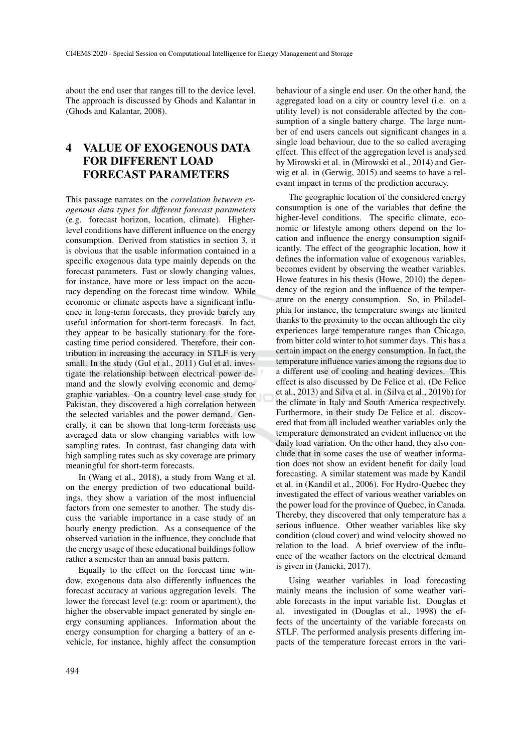about the end user that ranges till to the device level. The approach is discussed by Ghods and Kalantar in (Ghods and Kalantar, 2008).

## 4 VALUE OF EXOGENOUS DATA FOR DIFFERENT LOAD FORECAST PARAMETERS

This passage narrates on the *correlation between exogenous data types for different forecast parameters* (e.g. forecast horizon, location, climate). Higherlevel conditions have different influence on the energy consumption. Derived from statistics in section 3, it is obvious that the usable information contained in a specific exogenous data type mainly depends on the forecast parameters. Fast or slowly changing values, for instance, have more or less impact on the accuracy depending on the forecast time window. While economic or climate aspects have a significant influence in long-term forecasts, they provide barely any useful information for short-term forecasts. In fact, they appear to be basically stationary for the forecasting time period considered. Therefore, their contribution in increasing the accuracy in STLF is very small. In the study (Gul et al., 2011) Gul et al. investigate the relationship between electrical power demand and the slowly evolving economic and demographic variables. On a country level case study for Pakistan, they discovered a high correlation between the selected variables and the power demand. Generally, it can be shown that long-term forecasts use averaged data or slow changing variables with low sampling rates. In contrast, fast changing data with high sampling rates such as sky coverage are primary meaningful for short-term forecasts.

In (Wang et al., 2018), a study from Wang et al. on the energy prediction of two educational buildings, they show a variation of the most influencial factors from one semester to another. The study discuss the variable importance in a case study of an hourly energy prediction. As a consequence of the observed variation in the influence, they conclude that the energy usage of these educational buildings follow rather a semester than an annual basis pattern.

Equally to the effect on the forecast time window, exogenous data also differently influences the forecast accuracy at various aggregation levels. The lower the forecast level (e.g: room or apartment), the higher the observable impact generated by single energy consuming appliances. Information about the energy consumption for charging a battery of an evehicle, for instance, highly affect the consumption

behaviour of a single end user. On the other hand, the aggregated load on a city or country level (i.e. on a utility level) is not considerable affected by the consumption of a single battery charge. The large number of end users cancels out significant changes in a single load behaviour, due to the so called averaging effect. This effect of the aggregation level is analysed by Mirowski et al. in (Mirowski et al., 2014) and Gerwig et al. in (Gerwig, 2015) and seems to have a relevant impact in terms of the prediction accuracy.

The geographic location of the considered energy consumption is one of the variables that define the higher-level conditions. The specific climate, economic or lifestyle among others depend on the location and influence the energy consumption significantly. The effect of the geographic location, how it defines the information value of exogenous variables, becomes evident by observing the weather variables. Howe features in his thesis (Howe, 2010) the dependency of the region and the influence of the temperature on the energy consumption. So, in Philadelphia for instance, the temperature swings are limited thanks to the proximity to the ocean although the city experiences large temperature ranges than Chicago, from bitter cold winter to hot summer days. This has a certain impact on the energy consumption. In fact, the temperature influence varies among the regions due to a different use of cooling and heating devices. This effect is also discussed by De Felice et al. (De Felice et al., 2013) and Silva et al. in (Silva et al., 2019b) for the climate in Italy and South America respectively. Furthermore, in their study De Felice et al. discovered that from all included weather variables only the temperature demonstrated an evident influence on the daily load variation. On the other hand, they also conclude that in some cases the use of weather information does not show an evident benefit for daily load forecasting. A similar statement was made by Kandil et al. in (Kandil et al., 2006). For Hydro-Quebec they investigated the effect of various weather variables on the power load for the province of Quebec, in Canada. Thereby, they discovered that only temperature has a serious influence. Other weather variables like sky condition (cloud cover) and wind velocity showed no relation to the load. A brief overview of the influence of the weather factors on the electrical demand is given in (Janicki, 2017).

Using weather variables in load forecasting mainly means the inclusion of some weather variable forecasts in the input variable list. Douglas et al. investigated in (Douglas et al., 1998) the effects of the uncertainty of the variable forecasts on STLF. The performed analysis presents differing impacts of the temperature forecast errors in the vari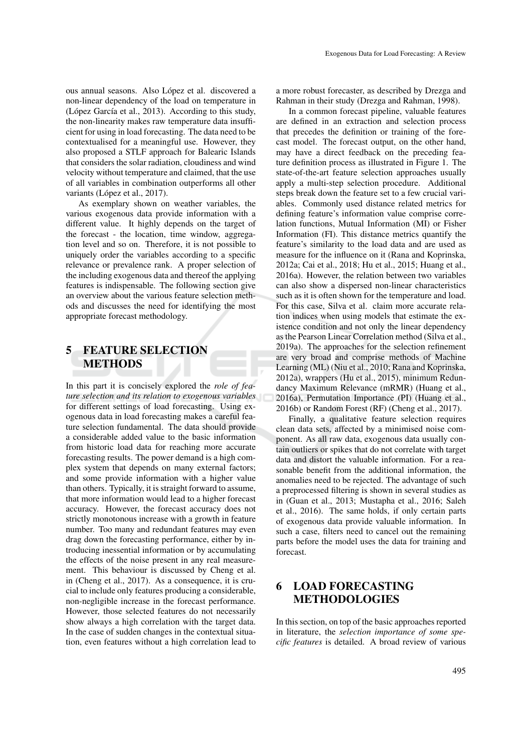ous annual seasons. Also López et al. discovered a non-linear dependency of the load on temperature in (López García et al., 2013). According to this study, the non-linearity makes raw temperature data insufficient for using in load forecasting. The data need to be contextualised for a meaningful use. However, they also proposed a STLF approach for Balearic Islands that considers the solar radiation, cloudiness and wind velocity without temperature and claimed, that the use of all variables in combination outperforms all other variants (López et al., 2017).

As exemplary shown on weather variables, the various exogenous data provide information with a different value. It highly depends on the target of the forecast - the location, time window, aggregation level and so on. Therefore, it is not possible to uniquely order the variables according to a specific relevance or prevalence rank. A proper selection of the including exogenous data and thereof the applying features is indispensable. The following section give an overview about the various feature selection methods and discusses the need for identifying the most appropriate forecast methodology.

### 5 FEATURE SELECTION METHODS

In this part it is concisely explored the *role of feature selection and its relation to exogenous variables* for different settings of load forecasting. Using exogenous data in load forecasting makes a careful feature selection fundamental. The data should provide a considerable added value to the basic information from historic load data for reaching more accurate forecasting results. The power demand is a high complex system that depends on many external factors; and some provide information with a higher value than others. Typically, it is straight forward to assume, that more information would lead to a higher forecast accuracy. However, the forecast accuracy does not strictly monotonous increase with a growth in feature number. Too many and redundant features may even drag down the forecasting performance, either by introducing inessential information or by accumulating the effects of the noise present in any real measurement. This behaviour is discussed by Cheng et al. in (Cheng et al., 2017). As a consequence, it is crucial to include only features producing a considerable, non-negligible increase in the forecast performance. However, those selected features do not necessarily show always a high correlation with the target data. In the case of sudden changes in the contextual situation, even features without a high correlation lead to

a more robust forecaster, as described by Drezga and Rahman in their study (Drezga and Rahman, 1998).

In a common forecast pipeline, valuable features are defined in an extraction and selection process that precedes the definition or training of the forecast model. The forecast output, on the other hand, may have a direct feedback on the preceding feature definition process as illustrated in Figure 1. The state-of-the-art feature selection approaches usually apply a multi-step selection procedure. Additional steps break down the feature set to a few crucial variables. Commonly used distance related metrics for defining feature's information value comprise correlation functions, Mutual Information (MI) or Fisher Information (FI). This distance metrics quantify the feature's similarity to the load data and are used as measure for the influence on it (Rana and Koprinska, 2012a; Cai et al., 2018; Hu et al., 2015; Huang et al., 2016a). However, the relation between two variables can also show a dispersed non-linear characteristics such as it is often shown for the temperature and load. For this case, Silva et al. claim more accurate relation indices when using models that estimate the existence condition and not only the linear dependency as the Pearson Linear Correlation method (Silva et al., 2019a). The approaches for the selection refinement are very broad and comprise methods of Machine Learning (ML) (Niu et al., 2010; Rana and Koprinska, 2012a), wrappers (Hu et al., 2015), minimum Redundancy Maximum Relevance (mRMR) (Huang et al., 2016a), Permutation Importance (PI) (Huang et al., 2016b) or Random Forest (RF) (Cheng et al., 2017).

Finally, a qualitative feature selection requires clean data sets, affected by a minimised noise component. As all raw data, exogenous data usually contain outliers or spikes that do not correlate with target data and distort the valuable information. For a reasonable benefit from the additional information, the anomalies need to be rejected. The advantage of such a preprocessed filtering is shown in several studies as in (Guan et al., 2013; Mustapha et al., 2016; Saleh et al., 2016). The same holds, if only certain parts of exogenous data provide valuable information. In such a case, filters need to cancel out the remaining parts before the model uses the data for training and forecast.

### 6 LOAD FORECASTING METHODOLOGIES

In this section, on top of the basic approaches reported in literature, the *selection importance of some specific features* is detailed. A broad review of various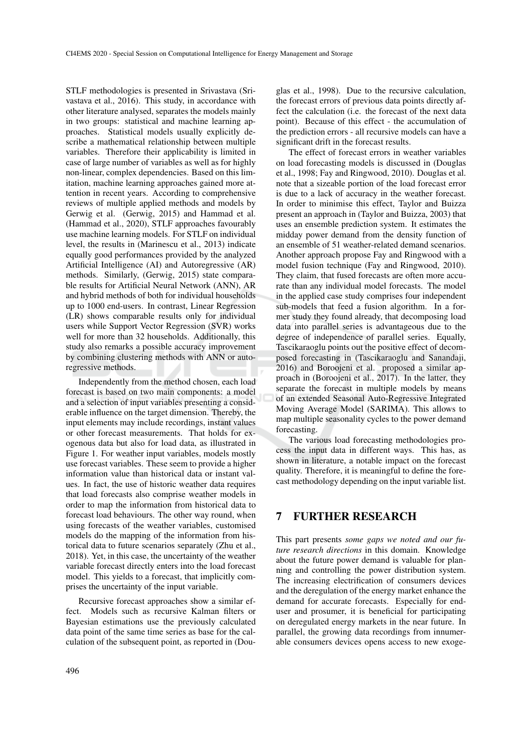STLF methodologies is presented in Srivastava (Srivastava et al., 2016). This study, in accordance with other literature analysed, separates the models mainly in two groups: statistical and machine learning approaches. Statistical models usually explicitly describe a mathematical relationship between multiple variables. Therefore their applicability is limited in case of large number of variables as well as for highly non-linear, complex dependencies. Based on this limitation, machine learning approaches gained more attention in recent years. According to comprehensive reviews of multiple applied methods and models by Gerwig et al. (Gerwig, 2015) and Hammad et al. (Hammad et al., 2020), STLF approaches favourably use machine learning models. For STLF on individual level, the results in (Marinescu et al., 2013) indicate equally good performances provided by the analyzed Artificial Intelligence (AI) and Autoregressive (AR) methods. Similarly, (Gerwig, 2015) state comparable results for Artificial Neural Network (ANN), AR and hybrid methods of both for individual households up to 1000 end-users. In contrast, Linear Regression (LR) shows comparable results only for individual users while Support Vector Regression (SVR) works well for more than 32 households. Additionally, this study also remarks a possible accuracy improvement by combining clustering methods with ANN or autoregressive methods.

Independently from the method chosen, each load forecast is based on two main components: a model and a selection of input variables presenting a considerable influence on the target dimension. Thereby, the input elements may include recordings, instant values or other forecast measurements. That holds for exogenous data but also for load data, as illustrated in Figure 1. For weather input variables, models mostly use forecast variables. These seem to provide a higher information value than historical data or instant values. In fact, the use of historic weather data requires that load forecasts also comprise weather models in order to map the information from historical data to forecast load behaviours. The other way round, when using forecasts of the weather variables, customised models do the mapping of the information from historical data to future scenarios separately (Zhu et al., 2018). Yet, in this case, the uncertainty of the weather variable forecast directly enters into the load forecast model. This yields to a forecast, that implicitly comprises the uncertainty of the input variable.

Recursive forecast approaches show a similar effect. Models such as recursive Kalman filters or Bayesian estimations use the previously calculated data point of the same time series as base for the calculation of the subsequent point, as reported in (Dou-

glas et al., 1998). Due to the recursive calculation, the forecast errors of previous data points directly affect the calculation (i.e. the forecast of the next data point). Because of this effect - the accumulation of the prediction errors - all recursive models can have a significant drift in the forecast results.

The effect of forecast errors in weather variables on load forecasting models is discussed in (Douglas et al., 1998; Fay and Ringwood, 2010). Douglas et al. note that a sizeable portion of the load forecast error is due to a lack of accuracy in the weather forecast. In order to minimise this effect, Taylor and Buizza present an approach in (Taylor and Buizza, 2003) that uses an ensemble prediction system. It estimates the midday power demand from the density function of an ensemble of 51 weather-related demand scenarios. Another approach propose Fay and Ringwood with a model fusion technique (Fay and Ringwood, 2010). They claim, that fused forecasts are often more accurate than any individual model forecasts. The model in the applied case study comprises four independent sub-models that feed a fusion algorithm. In a former study they found already, that decomposing load data into parallel series is advantageous due to the degree of independence of parallel series. Equally, Tascikaraoglu points out the positive effect of decomposed forecasting in (Tascikaraoglu and Sanandaji, 2016) and Boroojeni et al. proposed a similar approach in (Boroojeni et al., 2017). In the latter, they separate the forecast in multiple models by means of an extended Seasonal Auto-Regressive Integrated Moving Average Model (SARIMA). This allows to map multiple seasonality cycles to the power demand forecasting.

The various load forecasting methodologies process the input data in different ways. This has, as shown in literature, a notable impact on the forecast quality. Therefore, it is meaningful to define the forecast methodology depending on the input variable list.

### 7 FURTHER RESEARCH

This part presents *some gaps we noted and our future research directions* in this domain. Knowledge about the future power demand is valuable for planning and controlling the power distribution system. The increasing electrification of consumers devices and the deregulation of the energy market enhance the demand for accurate forecasts. Especially for enduser and prosumer, it is beneficial for participating on deregulated energy markets in the near future. In parallel, the growing data recordings from innumerable consumers devices opens access to new exoge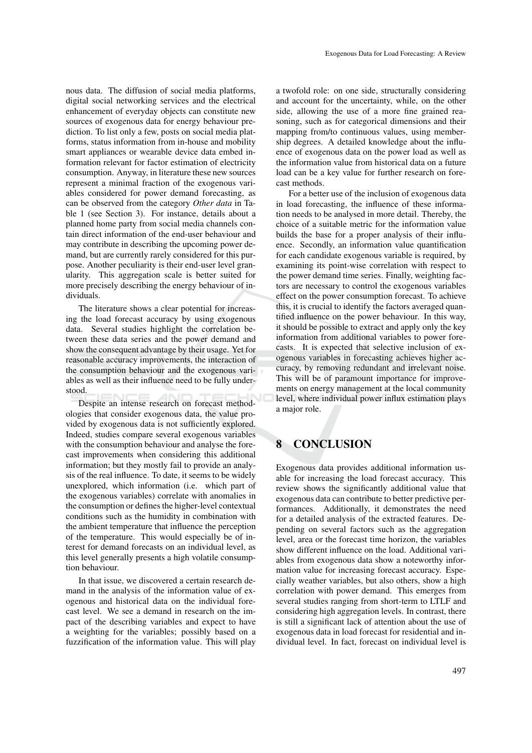nous data. The diffusion of social media platforms, digital social networking services and the electrical enhancement of everyday objects can constitute new sources of exogenous data for energy behaviour prediction. To list only a few, posts on social media platforms, status information from in-house and mobility smart appliances or wearable device data embed information relevant for factor estimation of electricity consumption. Anyway, in literature these new sources represent a minimal fraction of the exogenous variables considered for power demand forecasting, as can be observed from the category *Other data* in Table 1 (see Section 3). For instance, details about a planned home party from social media channels contain direct information of the end-user behaviour and may contribute in describing the upcoming power demand, but are currently rarely considered for this purpose. Another peculiarity is their end-user level granularity. This aggregation scale is better suited for more precisely describing the energy behaviour of individuals.

The literature shows a clear potential for increasing the load forecast accuracy by using exogenous data. Several studies highlight the correlation between these data series and the power demand and show the consequent advantage by their usage. Yet for reasonable accuracy improvements, the interaction of the consumption behaviour and the exogenous variables as well as their influence need to be fully understood.

Despite an intense research on forecast methodologies that consider exogenous data, the value provided by exogenous data is not sufficiently explored. Indeed, studies compare several exogenous variables with the consumption behaviour and analyse the forecast improvements when considering this additional information; but they mostly fail to provide an analysis of the real influence. To date, it seems to be widely unexplored, which information (i.e. which part of the exogenous variables) correlate with anomalies in the consumption or defines the higher-level contextual conditions such as the humidity in combination with the ambient temperature that influence the perception of the temperature. This would especially be of interest for demand forecasts on an individual level, as this level generally presents a high volatile consumption behaviour.

In that issue, we discovered a certain research demand in the analysis of the information value of exogenous and historical data on the individual forecast level. We see a demand in research on the impact of the describing variables and expect to have a weighting for the variables; possibly based on a fuzzification of the information value. This will play

a twofold role: on one side, structurally considering and account for the uncertainty, while, on the other side, allowing the use of a more fine grained reasoning, such as for categorical dimensions and their mapping from/to continuous values, using membership degrees. A detailed knowledge about the influence of exogenous data on the power load as well as the information value from historical data on a future load can be a key value for further research on forecast methods.

For a better use of the inclusion of exogenous data in load forecasting, the influence of these information needs to be analysed in more detail. Thereby, the choice of a suitable metric for the information value builds the base for a proper analysis of their influence. Secondly, an information value quantification for each candidate exogenous variable is required, by examining its point-wise correlation with respect to the power demand time series. Finally, weighting factors are necessary to control the exogenous variables effect on the power consumption forecast. To achieve this, it is crucial to identify the factors averaged quantified influence on the power behaviour. In this way, it should be possible to extract and apply only the key information from additional variables to power forecasts. It is expected that selective inclusion of exogenous variables in forecasting achieves higher accuracy, by removing redundant and irrelevant noise. This will be of paramount importance for improvements on energy management at the local community level, where individual power influx estimation plays a major role.

# **CONCLUSION**

Exogenous data provides additional information usable for increasing the load forecast accuracy. This review shows the significantly additional value that exogenous data can contribute to better predictive performances. Additionally, it demonstrates the need for a detailed analysis of the extracted features. Depending on several factors such as the aggregation level, area or the forecast time horizon, the variables show different influence on the load. Additional variables from exogenous data show a noteworthy information value for increasing forecast accuracy. Especially weather variables, but also others, show a high correlation with power demand. This emerges from several studies ranging from short-term to LTLF and considering high aggregation levels. In contrast, there is still a significant lack of attention about the use of exogenous data in load forecast for residential and individual level. In fact, forecast on individual level is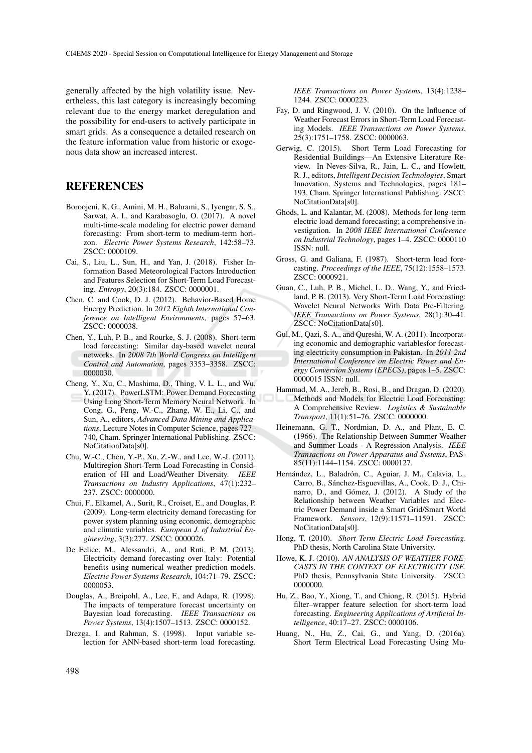generally affected by the high volatility issue. Nevertheless, this last category is increasingly becoming relevant due to the energy market deregulation and the possibility for end-users to actively participate in smart grids. As a consequence a detailed research on the feature information value from historic or exogenous data show an increased interest.

#### **REFERENCES**

- Boroojeni, K. G., Amini, M. H., Bahrami, S., Iyengar, S. S., Sarwat, A. I., and Karabasoglu, O. (2017). A novel multi-time-scale modeling for electric power demand forecasting: From short-term to medium-term horizon. *Electric Power Systems Research*, 142:58–73. ZSCC: 0000109.
- Cai, S., Liu, L., Sun, H., and Yan, J. (2018). Fisher Information Based Meteorological Factors Introduction and Features Selection for Short-Term Load Forecasting. *Entropy*, 20(3):184. ZSCC: 0000001.
- Chen, C. and Cook, D. J. (2012). Behavior-Based Home Energy Prediction. In *2012 Eighth International Conference on Intelligent Environments*, pages 57–63. ZSCC: 0000038.
- Chen, Y., Luh, P. B., and Rourke, S. J. (2008). Short-term load forecasting: Similar day-based wavelet neural networks. In *2008 7th World Congress on Intelligent Control and Automation*, pages 3353–3358. ZSCC: 0000030.
- Cheng, Y., Xu, C., Mashima, D., Thing, V. L. L., and Wu, Y. (2017). PowerLSTM: Power Demand Forecasting Using Long Short-Term Memory Neural Network. In Cong, G., Peng, W.-C., Zhang, W. E., Li, C., and Sun, A., editors, *Advanced Data Mining and Applications*, Lecture Notes in Computer Science, pages 727– 740, Cham. Springer International Publishing. ZSCC: NoCitationData[s0].
- Chu, W.-C., Chen, Y.-P., Xu, Z.-W., and Lee, W.-J. (2011). Multiregion Short-Term Load Forecasting in Consideration of HI and Load/Weather Diversity. *IEEE Transactions on Industry Applications*, 47(1):232– 237. ZSCC: 0000000.
- Chui, F., Elkamel, A., Surit, R., Croiset, E., and Douglas, P. (2009). Long-term electricity demand forecasting for power system planning using economic, demographic and climatic variables. *European J. of Industrial Engineering*, 3(3):277. ZSCC: 0000026.
- De Felice, M., Alessandri, A., and Ruti, P. M. (2013). Electricity demand forecasting over Italy: Potential benefits using numerical weather prediction models. *Electric Power Systems Research*, 104:71–79. ZSCC: 0000053.
- Douglas, A., Breipohl, A., Lee, F., and Adapa, R. (1998). The impacts of temperature forecast uncertainty on Bayesian load forecasting. *IEEE Transactions on Power Systems*, 13(4):1507–1513. ZSCC: 0000152.
- Drezga, I. and Rahman, S. (1998). Input variable selection for ANN-based short-term load forecasting.

*IEEE Transactions on Power Systems*, 13(4):1238– 1244. ZSCC: 0000223.

- Fay, D. and Ringwood, J. V. (2010). On the Influence of Weather Forecast Errors in Short-Term Load Forecasting Models. *IEEE Transactions on Power Systems*, 25(3):1751–1758. ZSCC: 0000063.
- Gerwig, C. (2015). Short Term Load Forecasting for Residential Buildings—An Extensive Literature Review. In Neves-Silva, R., Jain, L. C., and Howlett, R. J., editors, *Intelligent Decision Technologies*, Smart Innovation, Systems and Technologies, pages 181– 193, Cham. Springer International Publishing. ZSCC: NoCitationData[s0].
- Ghods, L. and Kalantar, M. (2008). Methods for long-term electric load demand forecasting; a comprehensive investigation. In *2008 IEEE International Conference on Industrial Technology*, pages 1–4. ZSCC: 0000110 ISSN: null.
- Gross, G. and Galiana, F. (1987). Short-term load forecasting. *Proceedings of the IEEE*, 75(12):1558–1573. ZSCC: 0000921.
- Guan, C., Luh, P. B., Michel, L. D., Wang, Y., and Friedland, P. B. (2013). Very Short-Term Load Forecasting: Wavelet Neural Networks With Data Pre-Filtering. *IEEE Transactions on Power Systems*, 28(1):30–41. ZSCC: NoCitationData[s0].
- Gul, M., Qazi, S. A., and Qureshi, W. A. (2011). Incorporating economic and demographic variablesfor forecasting electricity consumption in Pakistan. In *2011 2nd International Conference on Electric Power and Energy Conversion Systems (EPECS)*, pages 1–5. ZSCC: 0000015 ISSN: null.
- Hammad, M. A., Jereb, B., Rosi, B., and Dragan, D. (2020). Methods and Models for Electric Load Forecasting: A Comprehensive Review. *Logistics & Sustainable Transport*, 11(1):51–76. ZSCC: 0000000.
- Heinemann, G. T., Nordmian, D. A., and Plant, E. C. (1966). The Relationship Between Summer Weather and Summer Loads - A Regression Analysis. *IEEE Transactions on Power Apparatus and Systems*, PAS-85(11):1144–1154. ZSCC: 0000127.
- Hernández, L., Baladrón, C., Aguiar, J. M., Calavia, L., Carro, B., Sanchez-Esguevillas, A., Cook, D. J., Chi- ´ narro, D., and Gómez, J. (2012). A Study of the Relationship between Weather Variables and Electric Power Demand inside a Smart Grid/Smart World Framework. *Sensors*, 12(9):11571–11591. ZSCC: NoCitationData[s0].
- Hong, T. (2010). *Short Term Electric Load Forecasting*. PhD thesis, North Carolina State University.
- Howe, K. J. (2010). *AN ANALYSIS OF WEATHER FORE-CASTS IN THE CONTEXT OF ELECTRICITY USE*. PhD thesis, Pennsylvania State University. ZSCC: 0000000.
- Hu, Z., Bao, Y., Xiong, T., and Chiong, R. (2015). Hybrid filter–wrapper feature selection for short-term load forecasting. *Engineering Applications of Artificial Intelligence*, 40:17–27. ZSCC: 0000106.
- Huang, N., Hu, Z., Cai, G., and Yang, D. (2016a). Short Term Electrical Load Forecasting Using Mu-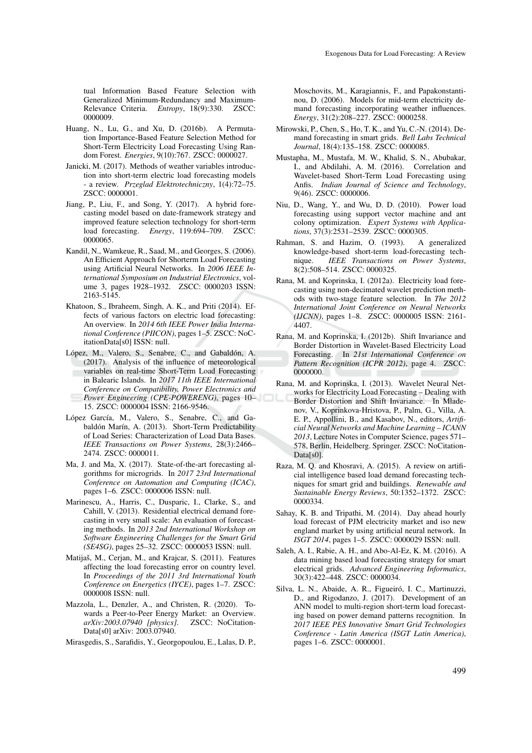tual Information Based Feature Selection with Generalized Minimum-Redundancy and Maximum-Relevance Criteria. *Entropy*, 18(9):330. ZSCC: 0000009.

- Huang, N., Lu, G., and Xu, D. (2016b). A Permutation Importance-Based Feature Selection Method for Short-Term Electricity Load Forecasting Using Random Forest. *Energies*, 9(10):767. ZSCC: 0000027.
- Janicki, M. (2017). Methods of weather variables introduction into short-term electric load forecasting models - a review. *Przeglad Elektrotechniczny*, 1(4):72–75. ZSCC: 0000001.
- Jiang, P., Liu, F., and Song, Y. (2017). A hybrid forecasting model based on date-framework strategy and improved feature selection technology for short-term load forecasting. *Energy*, 119:694–709. ZSCC: 0000065.
- Kandil, N., Wamkeue, R., Saad, M., and Georges, S. (2006). An Efficient Approach for Shorterm Load Forecasting using Artificial Neural Networks. In *2006 IEEE International Symposium on Industrial Electronics*, volume 3, pages 1928–1932. ZSCC: 0000203 ISSN: 2163-5145.
- Khatoon, S., Ibraheem, Singh, A. K., and Priti (2014). Effects of various factors on electric load forecasting: An overview. In *2014 6th IEEE Power India International Conference (PIICON)*, pages 1–5. ZSCC: NoCitationData[s0] ISSN: null.
- López, M., Valero, S., Senabre, C., and Gabaldón, A. (2017). Analysis of the influence of meteorological variables on real-time Short-Term Load Forecasting in Balearic Islands. In *2017 11th IEEE International Conference on Compatibility, Power Electronics and Power Engineering (CPE-POWERENG)*, pages 10– 15. ZSCC: 0000004 ISSN: 2166-9546.
- López García, M., Valero, S., Senabre, C., and Gabaldón Marín, A. (2013). Short-Term Predictability of Load Series: Characterization of Load Data Bases. *IEEE Transactions on Power Systems*, 28(3):2466– 2474. ZSCC: 0000011.
- Ma, J. and Ma, X. (2017). State-of-the-art forecasting algorithms for microgrids. In *2017 23rd International Conference on Automation and Computing (ICAC)*, pages 1–6. ZSCC: 0000006 ISSN: null.
- Marinescu, A., Harris, C., Dusparic, I., Clarke, S., and Cahill, V. (2013). Residential electrical demand forecasting in very small scale: An evaluation of forecasting methods. In *2013 2nd International Workshop on Software Engineering Challenges for the Smart Grid (SE4SG)*, pages 25–32. ZSCC: 0000053 ISSN: null.
- Matijaš, M., Cerjan, M., and Krajcar, S. (2011). Features affecting the load forecasting error on country level. In *Proceedings of the 2011 3rd International Youth Conference on Energetics (IYCE)*, pages 1–7. ZSCC: 0000008 ISSN: null.
- Mazzola, L., Denzler, A., and Christen, R. (2020). Towards a Peer-to-Peer Energy Market: an Overview.<br>arXiv:2003.07940 [physics]. ZSCC: NoCitation*arXiv:2003.07940 [physics].* Data[s0] arXiv: 2003.07940.
- Mirasgedis, S., Sarafidis, Y., Georgopoulou, E., Lalas, D. P.,

Moschovits, M., Karagiannis, F., and Papakonstantinou, D. (2006). Models for mid-term electricity demand forecasting incorporating weather influences. *Energy*, 31(2):208–227. ZSCC: 0000258.

- Mirowski, P., Chen, S., Ho, T. K., and Yu, C.-N. (2014). Demand forecasting in smart grids. *Bell Labs Technical Journal*, 18(4):135–158. ZSCC: 0000085.
- Mustapha, M., Mustafa, M. W., Khalid, S. N., Abubakar, I., and Abdilahi, A. M. (2016). Correlation and Wavelet-based Short-Term Load Forecasting using Anfis. *Indian Journal of Science and Technology*, 9(46). ZSCC: 0000006.
- Niu, D., Wang, Y., and Wu, D. D. (2010). Power load forecasting using support vector machine and ant colony optimization. *Expert Systems with Applications*, 37(3):2531–2539. ZSCC: 0000305.
- Rahman, S. and Hazim, O. (1993). A generalized knowledge-based short-term load-forecasting technique. *IEEE Transactions on Power Systems*, 8(2):508–514. ZSCC: 0000325.
- Rana, M. and Koprinska, I. (2012a). Electricity load forecasting using non-decimated wavelet prediction methods with two-stage feature selection. In *The 2012 International Joint Conference on Neural Networks (IJCNN)*, pages 1–8. ZSCC: 0000005 ISSN: 2161- 4407.
- Rana, M. and Koprinska, I. (2012b). Shift Invariance and Border Distortion in Wavelet-Based Electricity Load Forecasting. In *21st International Conference on Pattern Recognition (ICPR 2012)*, page 4. ZSCC: 0000000.
- Rana, M. and Koprinska, I. (2013). Wavelet Neural Networks for Electricity Load Forecasting – Dealing with Border Distortion and Shift Invariance. In Mladenov, V., Koprinkova-Hristova, P., Palm, G., Villa, A. E. P., Appollini, B., and Kasabov, N., editors, *Artificial Neural Networks and Machine Learning – ICANN 2013*, Lecture Notes in Computer Science, pages 571– 578, Berlin, Heidelberg. Springer. ZSCC: NoCitation-Data[s0].
- Raza, M. Q. and Khosravi, A. (2015). A review on artificial intelligence based load demand forecasting techniques for smart grid and buildings. *Renewable and Sustainable Energy Reviews*, 50:1352–1372. ZSCC: 0000334.
- Sahay, K. B. and Tripathi, M. (2014). Day ahead hourly load forecast of PJM electricity market and iso new england market by using artificial neural network. In *ISGT 2014*, pages 1–5. ZSCC: 0000029 ISSN: null.
- Saleh, A. I., Rabie, A. H., and Abo-Al-Ez, K. M. (2016). A data mining based load forecasting strategy for smart electrical grids. *Advanced Engineering Informatics*, 30(3):422–448. ZSCC: 0000034.
- Silva, L. N., Abaide, A. R., Figueiró, I. C., Martinuzzi, D., and Rigodanzo, J. (2017). Development of an ANN model to multi-region short-term load forecasting based on power demand patterns recognition. In *2017 IEEE PES Innovative Smart Grid Technologies Conference - Latin America (ISGT Latin America)*, pages 1–6. ZSCC: 0000001.